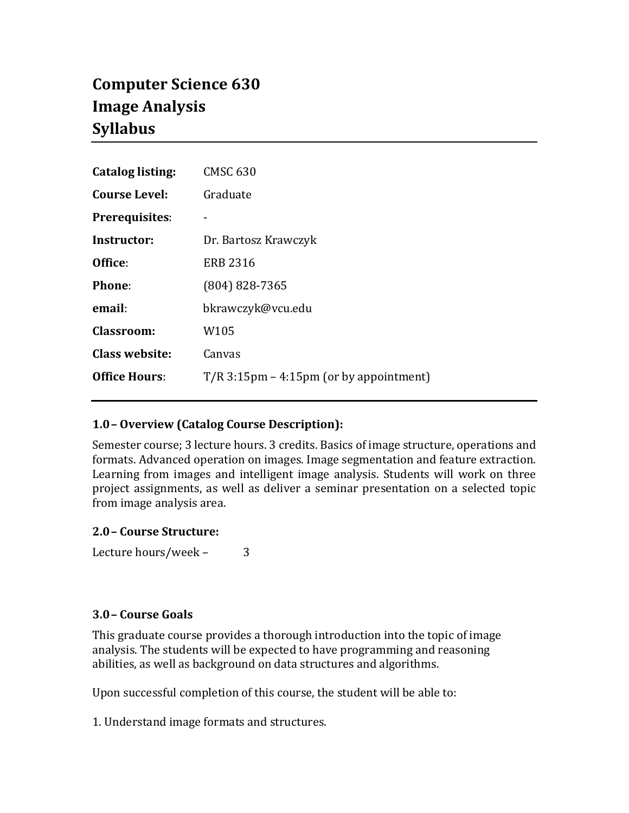# **Computer Science 630 Image Analysis Syllabus**

| <b>Catalog listing:</b> | <b>CMSC 630</b>                           |
|-------------------------|-------------------------------------------|
| <b>Course Level:</b>    | Graduate                                  |
| <b>Prerequisites:</b>   |                                           |
| Instructor:             | Dr. Bartosz Krawczyk                      |
| Office:                 | <b>ERB 2316</b>                           |
| <b>Phone:</b>           | $(804) 828 - 7365$                        |
| email:                  | bkrawczyk@vcu.edu                         |
| Classroom:              | W105                                      |
| <b>Class website:</b>   | Canvas                                    |
| <b>Office Hours:</b>    | $T/R$ 3:15pm – 4:15pm (or by appointment) |

# **1.0– Overview (Catalog Course Description):**

Semester course; 3 lecture hours. 3 credits. Basics of image structure, operations and formats. Advanced operation on images. Image segmentation and feature extraction. Learning from images and intelligent image analysis. Students will work on three project assignments, as well as deliver a seminar presentation on a selected topic from image analysis area.

#### **2.0– Course Structure:**

Lecture hours/week – 3

#### **3.0– Course Goals**

This graduate course provides a thorough introduction into the topic of image analysis. The students will be expected to have programming and reasoning abilities, as well as background on data structures and algorithms.

Upon successful completion of this course, the student will be able to:

1. Understand image formats and structures.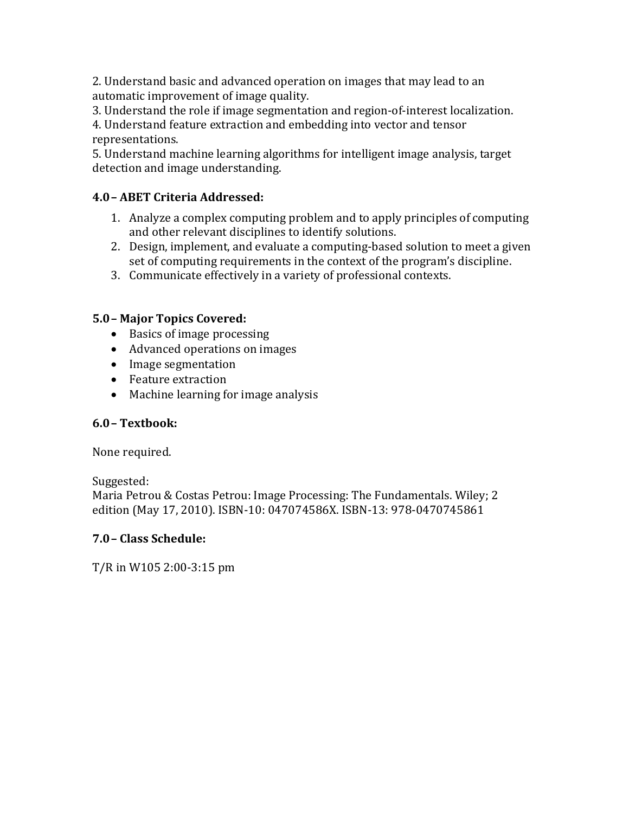2. Understand basic and advanced operation on images that may lead to an automatic improvement of image quality.

3. Understand the role if image segmentation and region-of-interest localization.

4. Understand feature extraction and embedding into vector and tensor representations.

5. Understand machine learning algorithms for intelligent image analysis, target detection and image understanding.

# **4.0– ABET Criteria Addressed:**

- 1. Analyze a complex computing problem and to apply principles of computing and other relevant disciplines to identify solutions.
- 2. Design, implement, and evaluate a computing-based solution to meet a given set of computing requirements in the context of the program's discipline.
- 3. Communicate effectively in a variety of professional contexts.

# **5.0– Major Topics Covered:**

- Basics of image processing
- Advanced operations on images
- Image segmentation
- Feature extraction
- Machine learning for image analysis

# **6.0– Textbook:**

None required.

Suggested:

Maria Petrou & Costas Petrou: Image Processing: The Fundamentals. Wiley; 2 edition (May 17, 2010). ISBN-10: 047074586X. ISBN-13: 978-0470745861

# **7.0– Class Schedule:**

T/R in W105 2:00-3:15 pm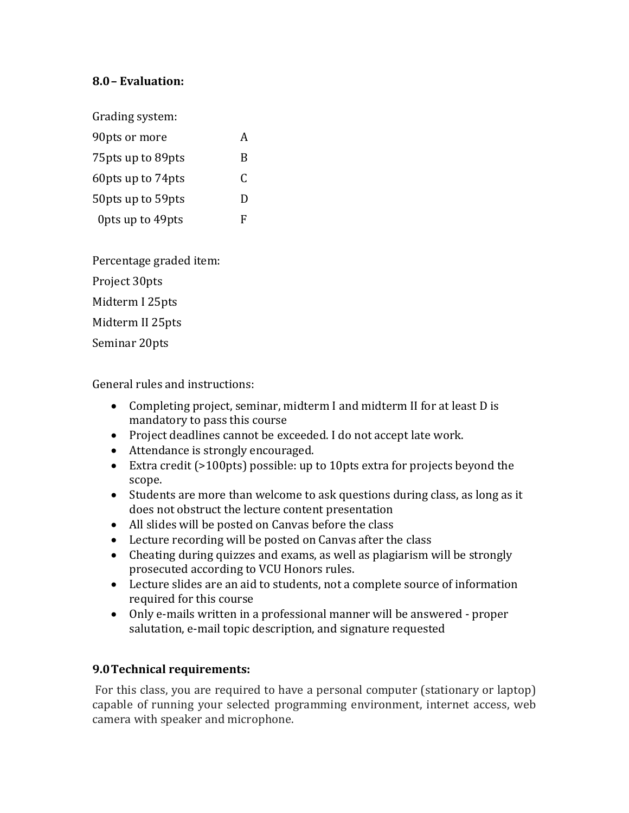#### **8.0– Evaluation:**

Grading system:

| 90pts or more       |   |
|---------------------|---|
| 75 pts up to 89 pts | B |
| 60 pts up to 74 pts | C |
| 50 pts up to 59 pts | Ð |
| Opts up to 49pts    | F |

Percentage graded item:

Project 30pts

Midterm I 25pts

Midterm II 25pts

Seminar 20pts

General rules and instructions:

- Completing project, seminar, midterm I and midterm II for at least D is mandatory to pass this course
- Project deadlines cannot be exceeded. I do not accept late work.
- Attendance is strongly encouraged.
- Extra credit (>100pts) possible: up to 10pts extra for projects beyond the scope.
- Students are more than welcome to ask questions during class, as long as it does not obstruct the lecture content presentation
- All slides will be posted on Canvas before the class
- Lecture recording will be posted on Canvas after the class
- Cheating during quizzes and exams, as well as plagiarism will be strongly prosecuted according to VCU Honors rules.
- Lecture slides are an aid to students, not a complete source of information required for this course
- Only e-mails written in a professional manner will be answered proper salutation, e-mail topic description, and signature requested

#### **9.0Technical requirements:**

For this class, you are required to have a personal computer (stationary or laptop) capable of running your selected programming environment, internet access, web camera with speaker and microphone.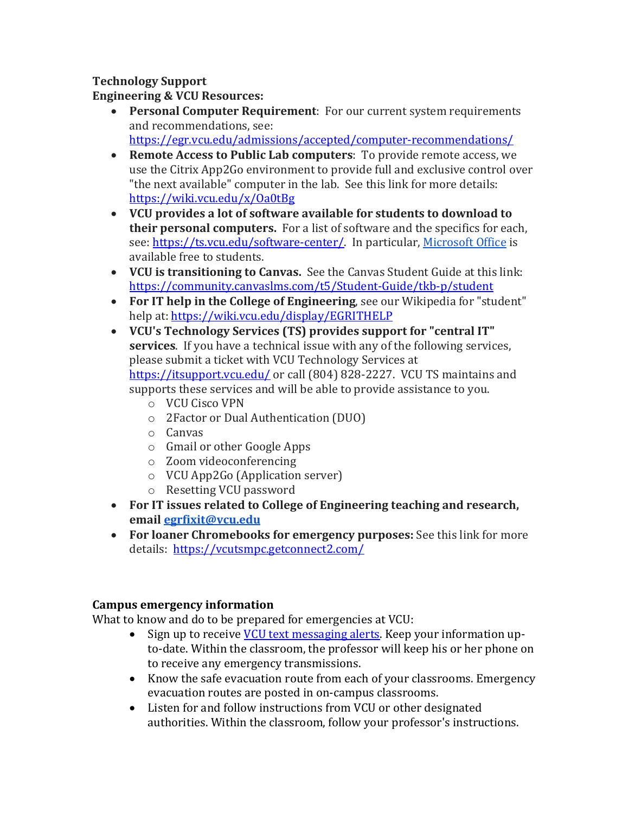# **Technology Support**

## **Engineering & VCU Resources:**

- **Personal Computer Requirement**: For our current system requirements and recommendations, see: <https://egr.vcu.edu/admissions/accepted/computer-recommendations/>
- **Remote Access to Public Lab computers**: To provide remote access, we use the Citrix App2Go environment to provide full and exclusive control over "the next available" computer in the lab. See this link for more details: <https://wiki.vcu.edu/x/Oa0tBg>
- **VCU provides a lot of software available for students to download to their personal computers.** For a list of software and the specifics for each, see[: https://ts.vcu.edu/software-center/.](https://ts.vcu.edu/software-center/) In particular, [Microsoft Office](https://go.vcu.edu/microsoft) is available free to students.
- **VCU is transitioning to Canvas.** See the Canvas Student Guide at this link: <https://community.canvaslms.com/t5/Student-Guide/tkb-p/student>
- **For IT help in the College of Engineering**, see our Wikipedia for "student" help at:<https://wiki.vcu.edu/display/EGRITHELP>
- **VCU's Technology Services (TS) provides support for "central IT" services**. If you have a technical issue with any of the following services, please submit a ticket with VCU Technology Services at <https://itsupport.vcu.edu/> or call (804) 828-2227. VCU TS maintains and supports these services and will be able to provide assistance to you.
	- o VCU Cisco VPN
	- o 2Factor or Dual Authentication (DUO)
	- o Canvas
	- o Gmail or other Google Apps
	- o Zoom videoconferencing
	- o VCU App2Go (Application server)
	- o Resetting VCU password
- **For IT issues related to College of Engineering teaching and research, email [egrfixit@vcu.edu](mailto:egrfixit@vcu.edu)**
- **For loaner Chromebooks for emergency purposes:** See this link for more details:<https://vcutsmpc.getconnect2.com/>

# **Campus emergency information**

What to know and do to be prepared for emergencies at VCU:

- Sign up to receive [VCU text messaging alerts.](http://alert.vcu.edu/signup/index.php) Keep your information upto-date. Within the classroom, the professor will keep his or her phone on to receive any emergency transmissions.
- Know the safe evacuation route from each of your classrooms. Emergency evacuation routes are posted in on-campus classrooms.
- Listen for and follow instructions from VCU or other designated authorities. Within the classroom, follow your professor's instructions.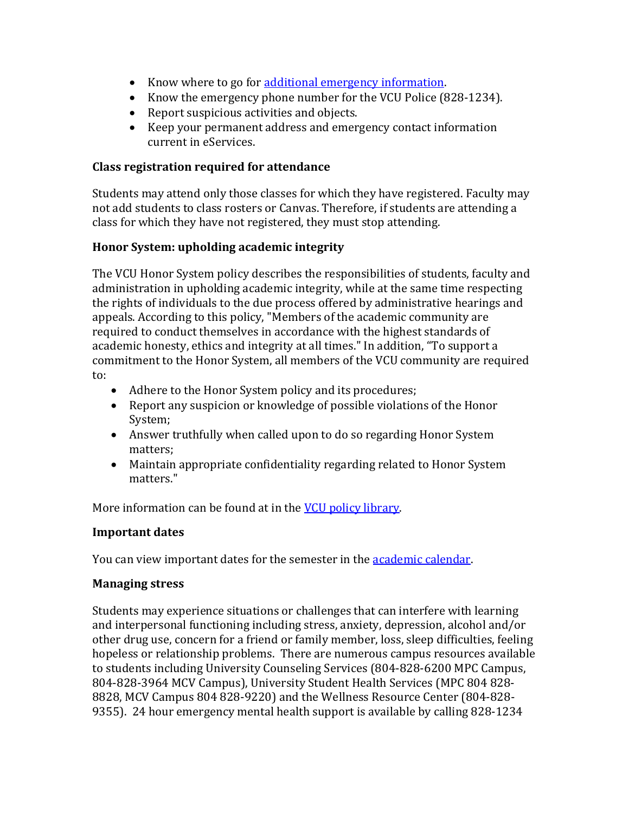- Know where to go for [additional emergency information.](http://www.vcu.edu/alert)
- Know the emergency phone number for the VCU Police (828-1234).
- Report suspicious activities and objects.
- Keep your permanent address and emergency contact information current in eServices.

## **Class registration required for attendance**

Students may attend only those classes for which they have registered. Faculty may not add students to class rosters or Canvas. Therefore, if students are attending a class for which they have not registered, they must stop attending.

#### **Honor System: upholding academic integrity**

The VCU Honor System policy describes the responsibilities of students, faculty and administration in upholding academic integrity, while at the same time respecting the rights of individuals to the due process offered by administrative hearings and appeals. According to this policy, "Members of the academic community are required to conduct themselves in accordance with the highest standards of academic honesty, ethics and integrity at all times." In addition, "To support a commitment to the Honor System, all members of the VCU community are required to:

- Adhere to the Honor System policy and its procedures;
- Report any suspicion or knowledge of possible violations of the Honor System;
- Answer truthfully when called upon to do so regarding Honor System matters;
- Maintain appropriate confidentiality regarding related to Honor System matters."

More information can be found at in the **VCU policy library**.

# **Important dates**

You can view important dates for the semester in the **academic calendar**.

# **Managing stress**

Students may experience situations or challenges that can interfere with learning and interpersonal functioning including stress, anxiety, depression, alcohol and/or other drug use, concern for a friend or family member, loss, sleep difficulties, feeling hopeless or relationship problems. There are numerous campus resources available to students including University Counseling Services (804-828-6200 MPC Campus, 804-828-3964 MCV Campus), University Student Health Services (MPC 804 828- 8828, MCV Campus 804 828-9220) and the Wellness Resource Center (804-828- 9355). 24 hour emergency mental health support is available by calling 828-1234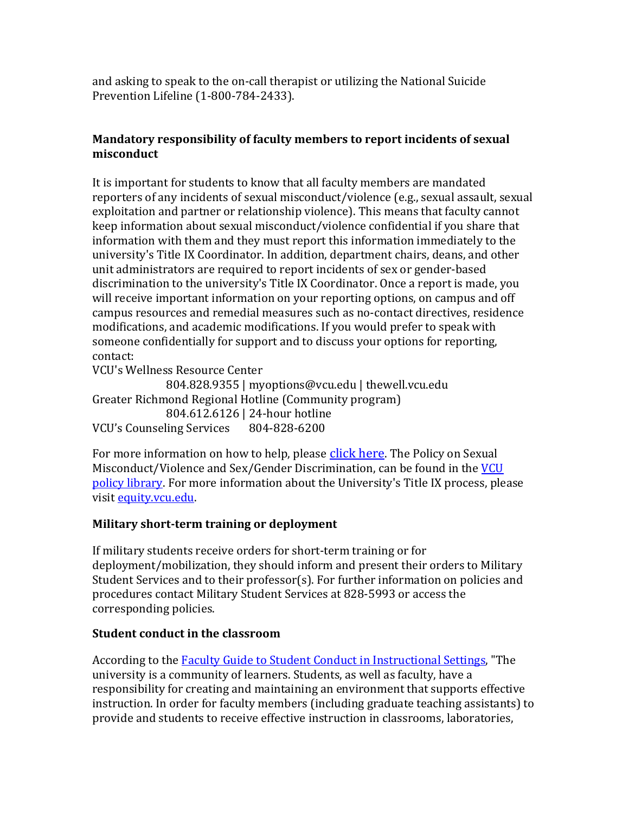and asking to speak to the on-call therapist or utilizing the National Suicide Prevention Lifeline (1-800-784-2433).

# **Mandatory responsibility of faculty members to report incidents of sexual misconduct**

It is important for students to know that all faculty members are mandated reporters of any incidents of sexual misconduct/violence (e.g., sexual assault, sexual exploitation and partner or relationship violence). This means that faculty cannot keep information about sexual misconduct/violence confidential if you share that information with them and they must report this information immediately to the university's Title IX Coordinator. In addition, department chairs, deans, and other unit administrators are required to report incidents of sex or gender-based discrimination to the university's Title IX Coordinator. Once a report is made, you will receive important information on your reporting options, on campus and off campus resources and remedial measures such as no-contact directives, residence modifications, and academic modifications. If you would prefer to speak with someone confidentially for support and to discuss your options for reporting, contact:

VCU's Wellness Resource Center

804.828.9355 | myoptions@vcu.edu | thewell.vcu.edu Greater Richmond Regional Hotline (Community program) 804.612.6126 | 24-hour hotline<br>ling Services 804-828-6200 VCU's Counseling Services

For more information on how to help, please [click here.](http://www.thewell.vcu.edu/advocacy-services/) The Policy on Sexual Misconduct/Violence and Sex/Gender Discrimination, can be found in the VCU [policy library.](http://www.policy.vcu.edu/sites/default/files/Sexual%20Misconduct%20Violence%20and%20Sex%20Gender%20Discrimination.pdf) For more information about the University's Title IX process, please visit [equity.vcu.edu.](http://equity.vcu.edu/)

# **Military short-term training or deployment**

If military students receive orders for short-term training or for deployment/mobilization, they should inform and present their orders to Military Student Services and to their professor(s). For further information on policies and procedures contact Military Student Services at 828-5993 or access the corresponding policies.

#### **Student conduct in the classroom**

According to the **Faculty Guide to Student Conduct in Instructional Settings**, "The university is a community of learners. Students, as well as faculty, have a responsibility for creating and maintaining an environment that supports effective instruction. In order for faculty members (including graduate teaching assistants) to provide and students to receive effective instruction in classrooms, laboratories,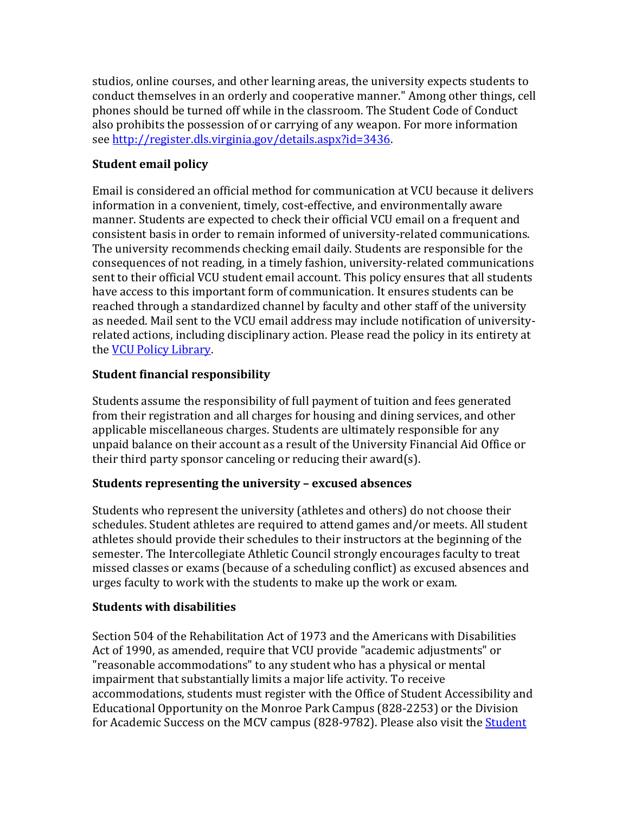studios, online courses, and other learning areas, the university expects students to conduct themselves in an orderly and cooperative manner." Among other things, cell phones should be turned off while in the classroom. The Student Code of Conduct also prohibits the possession of or carrying of any weapon. For more information see [http://register.dls.virginia.gov/details.aspx?id=3436.](http://register.dls.virginia.gov/details.aspx?id=3436)

# **Student email policy**

Email is considered an official method for communication at VCU because it delivers information in a convenient, timely, cost-effective, and environmentally aware manner. Students are expected to check their official VCU email on a frequent and consistent basis in order to remain informed of university-related communications. The university recommends checking email daily. Students are responsible for the consequences of not reading, in a timely fashion, university-related communications sent to their official VCU student email account. This policy ensures that all students have access to this important form of communication. It ensures students can be reached through a standardized channel by faculty and other staff of the university as needed. Mail sent to the VCU email address may include notification of universityrelated actions, including disciplinary action. Please read the policy in its entirety at the [VCU Policy Library.](http://www.policy.vcu.edu/sites/default/files/Student%20Email%20Policy_0.pdf)

# **Student financial responsibility**

Students assume the responsibility of full payment of tuition and fees generated from their registration and all charges for housing and dining services, and other applicable miscellaneous charges. Students are ultimately responsible for any unpaid balance on their account as a result of the University Financial Aid Office or their third party sponsor canceling or reducing their award(s).

# **Students representing the university – excused absences**

Students who represent the university (athletes and others) do not choose their schedules. Student athletes are required to attend games and/or meets. All student athletes should provide their schedules to their instructors at the beginning of the semester. The Intercollegiate Athletic Council strongly encourages faculty to treat missed classes or exams (because of a scheduling conflict) as excused absences and urges faculty to work with the students to make up the work or exam.

# **Students with disabilities**

Section 504 of the Rehabilitation Act of 1973 and the Americans with Disabilities Act of 1990, as amended, require that VCU provide "academic adjustments" or "reasonable accommodations" to any student who has a physical or mental impairment that substantially limits a major life activity. To receive accommodations, students must register with the Office of Student Accessibility and Educational Opportunity on the Monroe Park Campus (828-2253) or the Division for Academic Success on the MCV campus (828-9782). Please also visit the Student